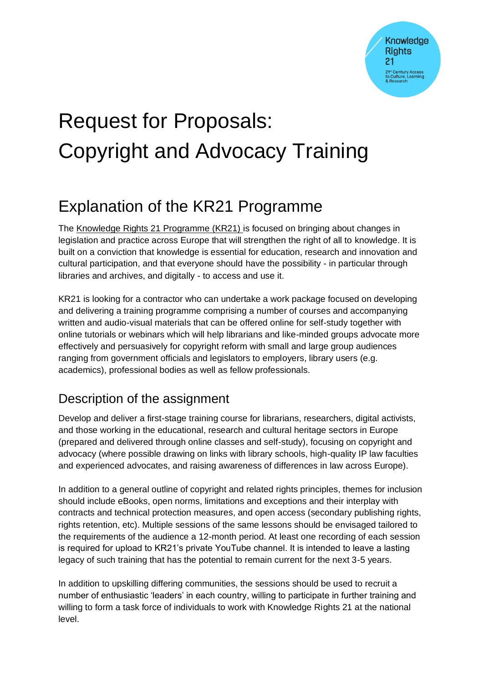# Request for Proposals: Copyright and Advocacy Training

# Explanation of the KR21 Programme

The Knowledge Rights 21 Programme (KR21) is focused on bringing about changes in legislation and practice across Europe that will strengthen the right of all to knowledge. It is built on a conviction that knowledge is essential for education, research and innovation and cultural participation, and that everyone should have the possibility - in particular through libraries and archives, and digitally - to access and use it.

KR21 is looking for a contractor who can undertake a work package focused on developing and delivering a training programme comprising a number of courses and accompanying written and audio-visual materials that can be offered online for self-study together with online tutorials or webinars which will help librarians and like-minded groups advocate more effectively and persuasively for copyright reform with small and large group audiences ranging from government officials and legislators to employers, library users (e.g. academics), professional bodies as well as fellow professionals.

## Description of the assignment

Develop and deliver a first-stage training course for librarians, researchers, digital activists, and those working in the educational, research and cultural heritage sectors in Europe (prepared and delivered through online classes and self-study), focusing on copyright and advocacy (where possible drawing on links with library schools, high-quality IP law faculties and experienced advocates, and raising awareness of differences in law across Europe).

In addition to a general outline of copyright and related rights principles, themes for inclusion should include eBooks, open norms, limitations and exceptions and their interplay with contracts and technical protection measures, and open access (secondary publishing rights, rights retention, etc). Multiple sessions of the same lessons should be envisaged tailored to the requirements of the audience a 12-month period. At least one recording of each session is required for upload to KR21's private YouTube channel. It is intended to leave a lasting legacy of such training that has the potential to remain current for the next 3-5 years.

In addition to upskilling differing communities, the sessions should be used to recruit a number of enthusiastic 'leaders' in each country, willing to participate in further training and willing to form a task force of individuals to work with Knowledge Rights 21 at the national level.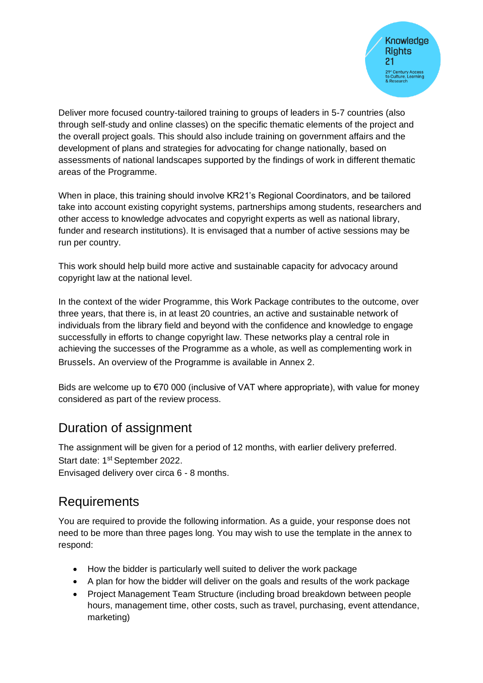Deliver more focused country-tailored training to groups of leaders in 5-7 countries (also through self-study and online classes) on the specific thematic elements of the project and the overall project goals. This should also include training on government affairs and the development of plans and strategies for advocating for change nationally, based on assessments of national landscapes supported by the findings of work in different thematic areas of the Programme.

When in place, this training should involve KR21's Regional Coordinators, and be tailored take into account existing copyright systems, partnerships among students, researchers and other access to knowledge advocates and copyright experts as well as national library, funder and research institutions). It is envisaged that a number of active sessions may be run per country.

This work should help build more active and sustainable capacity for advocacy around copyright law at the national level.

In the context of the wider Programme, this Work Package contributes to the outcome, over three years, that there is, in at least 20 countries, an active and sustainable network of individuals from the library field and beyond with the confidence and knowledge to engage successfully in efforts to change copyright law. These networks play a central role in achieving the successes of the Programme as a whole, as well as complementing work in Brussels. An overview of the Programme is available in Annex 2.

Bids are welcome up to €70 000 (inclusive of VAT where appropriate), with value for money considered as part of the review process.

#### Duration of assignment

The assignment will be given for a period of 12 months, with earlier delivery preferred. Start date: 1<sup>st</sup> September 2022.

Envisaged delivery over circa 6 - 8 months.

#### **Requirements**

You are required to provide the following information. As a guide, your response does not need to be more than three pages long. You may wish to use the template in the annex to respond:

- How the bidder is particularly well suited to deliver the work package
- A plan for how the bidder will deliver on the goals and results of the work package
- Project Management Team Structure (including broad breakdown between people hours, management time, other costs, such as travel, purchasing, event attendance, marketing)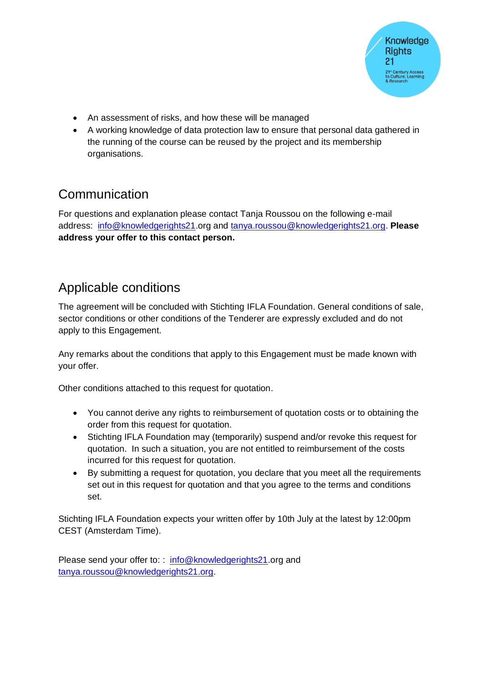- An assessment of risks, and how these will be managed
- A working knowledge of data protection law to ensure that personal data gathered in the running of the course can be reused by the project and its membership organisations.

#### Communication

For questions and explanation please contact Tanja Roussou on the following e-mail address: [info@knowledgerights21.](mailto:info@knowledgerights21)org and [tanya.roussou@knowledgerights21.org.](mailto:tanya.roussou@knowledgerights21.org) **Please address your offer to this contact person.** 

## Applicable conditions

The agreement will be concluded with Stichting IFLA Foundation. General conditions of sale, sector conditions or other conditions of the Tenderer are expressly excluded and do not apply to this Engagement.

Any remarks about the conditions that apply to this Engagement must be made known with your offer.

Other conditions attached to this request for quotation.

- You cannot derive any rights to reimbursement of quotation costs or to obtaining the order from this request for quotation.
- Stichting IFLA Foundation may (temporarily) suspend and/or revoke this request for quotation. In such a situation, you are not entitled to reimbursement of the costs incurred for this request for quotation.
- By submitting a request for quotation, you declare that you meet all the requirements set out in this request for quotation and that you agree to the terms and conditions set.

Stichting IFLA Foundation expects your written offer by 10th July at the latest by 12:00pm CEST (Amsterdam Time).

Please send your offer to:: [info@knowledgerights21.](mailto:info@knowledgerights21)org and [tanya.roussou@knowledgerights21.org.](mailto:tanya.roussou@knowledgerights21.org)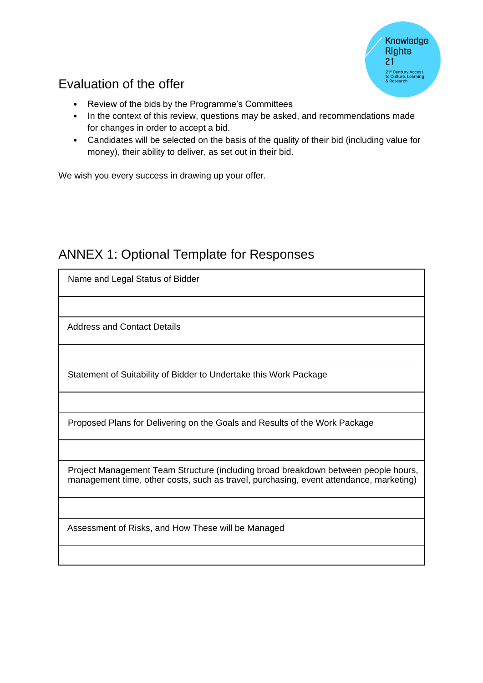# Evaluation of the offer

- Review of the bids by the Programme's Committees
- In the context of this review, questions may be asked, and recommendations made for changes in order to accept a bid.
- Candidates will be selected on the basis of the quality of their bid (including value for money), their ability to deliver, as set out in their bid.

We wish you every success in drawing up your offer.

#### ANNEX 1: Optional Template for Responses

| Name and Legal Status of Bidder                                                                                                                                              |
|------------------------------------------------------------------------------------------------------------------------------------------------------------------------------|
|                                                                                                                                                                              |
| <b>Address and Contact Details</b>                                                                                                                                           |
|                                                                                                                                                                              |
| Statement of Suitability of Bidder to Undertake this Work Package                                                                                                            |
|                                                                                                                                                                              |
| Proposed Plans for Delivering on the Goals and Results of the Work Package                                                                                                   |
|                                                                                                                                                                              |
| Project Management Team Structure (including broad breakdown between people hours,<br>management time, other costs, such as travel, purchasing, event attendance, marketing) |
|                                                                                                                                                                              |
| Assessment of Risks, and How These will be Managed                                                                                                                           |
|                                                                                                                                                                              |